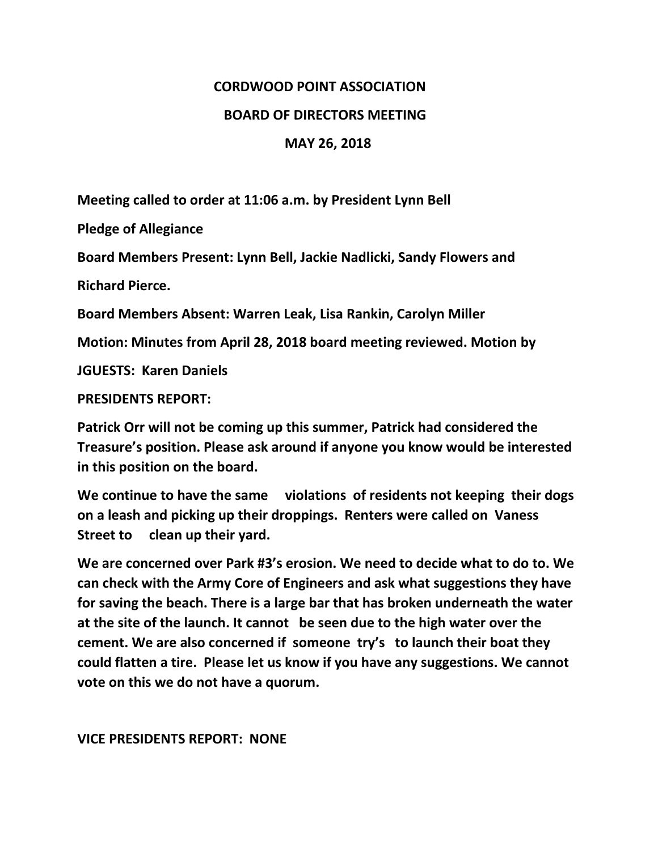# **CORDWOOD POINT ASSOCIATION**

### **BOARD OF DIRECTORS MEETING**

### **MAY 26, 2018**

**Meeting called to order at 11:06 a.m. by President Lynn Bell**

**Pledge of Allegiance**

**Board Members Present: Lynn Bell, Jackie Nadlicki, Sandy Flowers and** 

**Richard Pierce.**

**Board Members Absent: Warren Leak, Lisa Rankin, Carolyn Miller**

**Motion: Minutes from April 28, 2018 board meeting reviewed. Motion by**

**JGUESTS: Karen Daniels**

**PRESIDENTS REPORT:**

**Patrick Orr will not be coming up this summer, Patrick had considered the Treasure's position. Please ask around if anyone you know would be interested in this position on the board.**

**We continue to have the same violations of residents not keeping their dogs on a leash and picking up their droppings. Renters were called on Vaness Street to clean up their yard.** 

**We are concerned over Park #3's erosion. We need to decide what to do to. We can check with the Army Core of Engineers and ask what suggestions they have for saving the beach. There is a large bar that has broken underneath the water at the site of the launch. It cannot be seen due to the high water over the cement. We are also concerned if someone try's to launch their boat they could flatten a tire. Please let us know if you have any suggestions. We cannot vote on this we do not have a quorum.**

**VICE PRESIDENTS REPORT: NONE**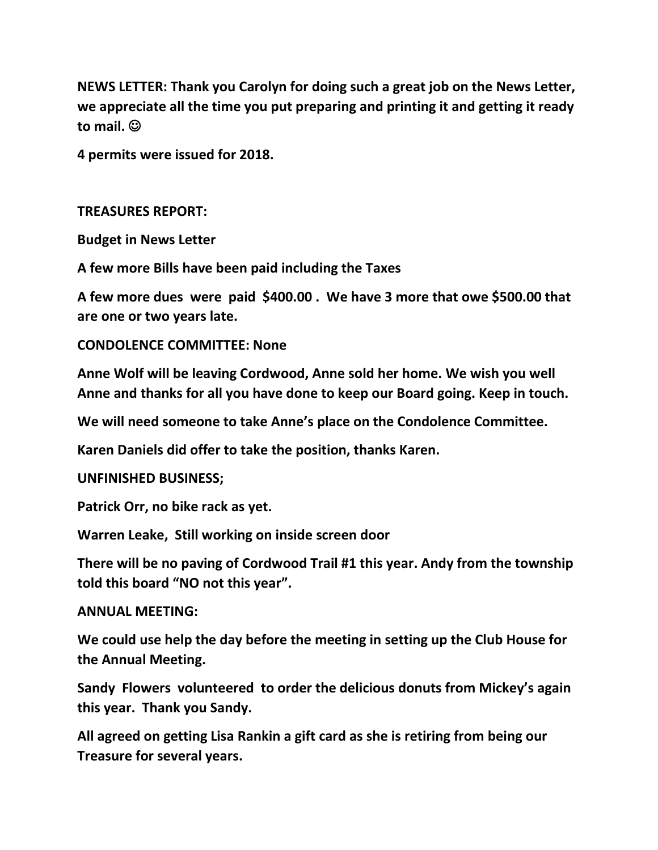**NEWS LETTER: Thank you Carolyn for doing such a great job on the News Letter, we appreciate all the time you put preparing and printing it and getting it ready to mail.** ☺

**4 permits were issued for 2018.**

## **TREASURES REPORT:**

**Budget in News Letter**

**A few more Bills have been paid including the Taxes**

**A few more dues were paid \$400.00 . We have 3 more that owe \$500.00 that are one or two years late.**

## **CONDOLENCE COMMITTEE: None**

**Anne Wolf will be leaving Cordwood, Anne sold her home. We wish you well Anne and thanks for all you have done to keep our Board going. Keep in touch.**

**We will need someone to take Anne's place on the Condolence Committee.**

**Karen Daniels did offer to take the position, thanks Karen.**

#### **UNFINISHED BUSINESS;**

**Patrick Orr, no bike rack as yet.**

**Warren Leake, Still working on inside screen door**

**There will be no paving of Cordwood Trail #1 this year. Andy from the township told this board "NO not this year".**

#### **ANNUAL MEETING:**

**We could use help the day before the meeting in setting up the Club House for the Annual Meeting.**

**Sandy Flowers volunteered to order the delicious donuts from Mickey's again this year. Thank you Sandy.** 

**All agreed on getting Lisa Rankin a gift card as she is retiring from being our Treasure for several years.**